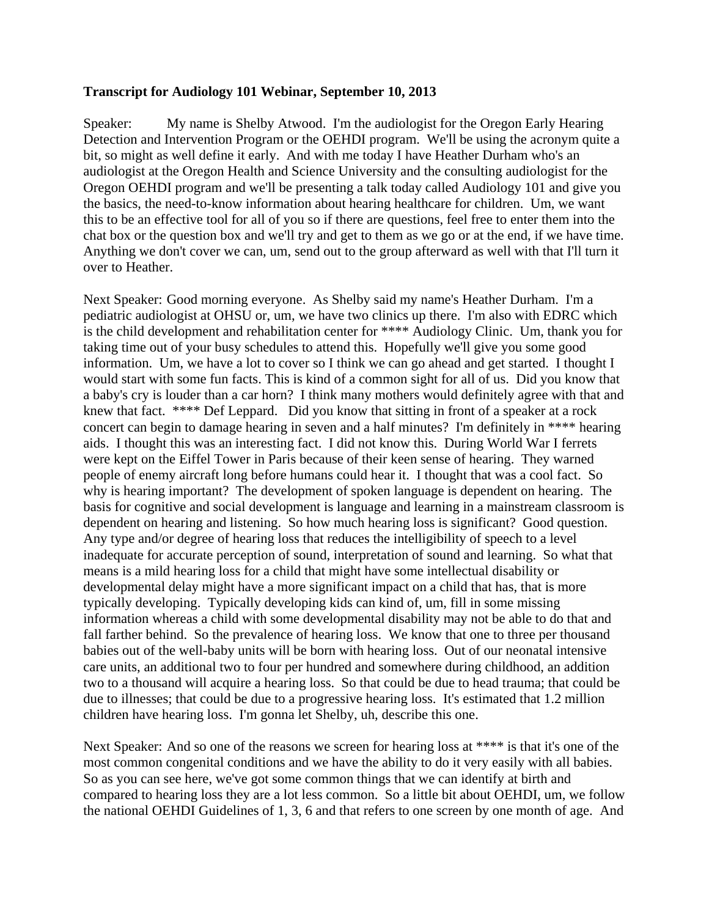## **Transcript for Audiology 101 Webinar, September 10, 2013**

Speaker: My name is Shelby Atwood. I'm the audiologist for the Oregon Early Hearing Detection and Intervention Program or the OEHDI program. We'll be using the acronym quite a bit, so might as well define it early. And with me today I have Heather Durham who's an audiologist at the Oregon Health and Science University and the consulting audiologist for the Oregon OEHDI program and we'll be presenting a talk today called Audiology 101 and give you the basics, the need-to-know information about hearing healthcare for children. Um, we want this to be an effective tool for all of you so if there are questions, feel free to enter them into the chat box or the question box and we'll try and get to them as we go or at the end, if we have time. Anything we don't cover we can, um, send out to the group afterward as well with that I'll turn it over to Heather.

Next Speaker: Good morning everyone. As Shelby said my name's Heather Durham. I'm a pediatric audiologist at OHSU or, um, we have two clinics up there. I'm also with EDRC which is the child development and rehabilitation center for \*\*\*\* Audiology Clinic. Um, thank you for taking time out of your busy schedules to attend this. Hopefully we'll give you some good information. Um, we have a lot to cover so I think we can go ahead and get started. I thought I would start with some fun facts. This is kind of a common sight for all of us. Did you know that a baby's cry is louder than a car horn? I think many mothers would definitely agree with that and knew that fact. \*\*\*\* Def Leppard. Did you know that sitting in front of a speaker at a rock concert can begin to damage hearing in seven and a half minutes? I'm definitely in \*\*\*\* hearing aids. I thought this was an interesting fact. I did not know this. During World War I ferrets were kept on the Eiffel Tower in Paris because of their keen sense of hearing. They warned people of enemy aircraft long before humans could hear it. I thought that was a cool fact. So why is hearing important? The development of spoken language is dependent on hearing. The basis for cognitive and social development is language and learning in a mainstream classroom is dependent on hearing and listening. So how much hearing loss is significant? Good question. Any type and/or degree of hearing loss that reduces the intelligibility of speech to a level inadequate for accurate perception of sound, interpretation of sound and learning. So what that means is a mild hearing loss for a child that might have some intellectual disability or developmental delay might have a more significant impact on a child that has, that is more typically developing. Typically developing kids can kind of, um, fill in some missing information whereas a child with some developmental disability may not be able to do that and fall farther behind. So the prevalence of hearing loss. We know that one to three per thousand babies out of the well-baby units will be born with hearing loss. Out of our neonatal intensive care units, an additional two to four per hundred and somewhere during childhood, an addition two to a thousand will acquire a hearing loss. So that could be due to head trauma; that could be due to illnesses; that could be due to a progressive hearing loss. It's estimated that 1.2 million children have hearing loss. I'm gonna let Shelby, uh, describe this one.

Next Speaker: And so one of the reasons we screen for hearing loss at \*\*\*\* is that it's one of the most common congenital conditions and we have the ability to do it very easily with all babies. So as you can see here, we've got some common things that we can identify at birth and compared to hearing loss they are a lot less common. So a little bit about OEHDI, um, we follow the national OEHDI Guidelines of 1, 3, 6 and that refers to one screen by one month of age. And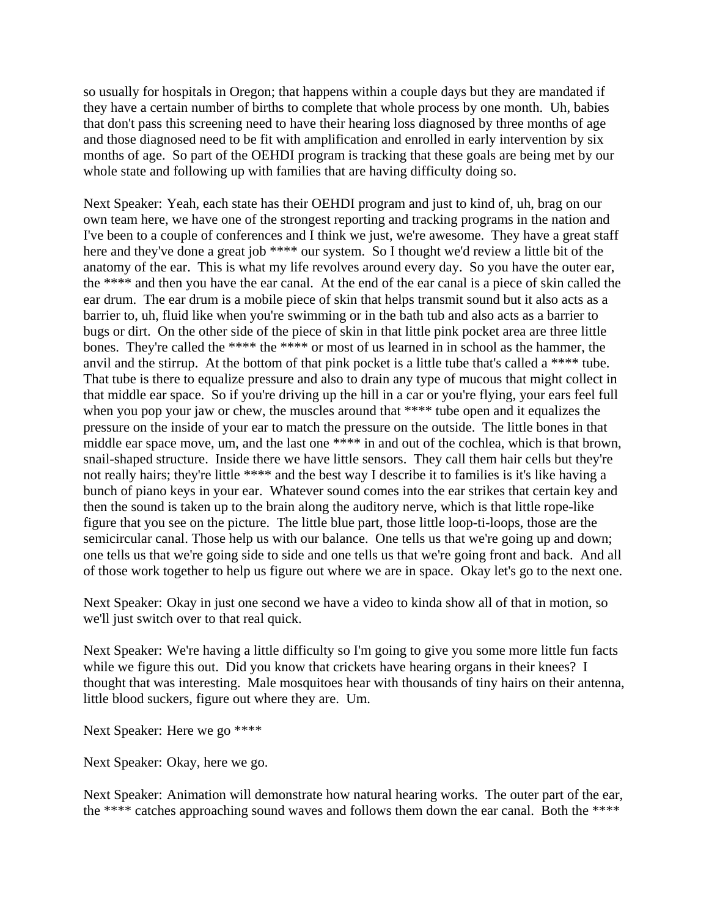so usually for hospitals in Oregon; that happens within a couple days but they are mandated if they have a certain number of births to complete that whole process by one month. Uh, babies that don't pass this screening need to have their hearing loss diagnosed by three months of age and those diagnosed need to be fit with amplification and enrolled in early intervention by six months of age. So part of the OEHDI program is tracking that these goals are being met by our whole state and following up with families that are having difficulty doing so.

Next Speaker: Yeah, each state has their OEHDI program and just to kind of, uh, brag on our own team here, we have one of the strongest reporting and tracking programs in the nation and I've been to a couple of conferences and I think we just, we're awesome. They have a great staff here and they've done a great job \*\*\*\* our system. So I thought we'd review a little bit of the anatomy of the ear. This is what my life revolves around every day. So you have the outer ear, the \*\*\*\* and then you have the ear canal. At the end of the ear canal is a piece of skin called the ear drum. The ear drum is a mobile piece of skin that helps transmit sound but it also acts as a barrier to, uh, fluid like when you're swimming or in the bath tub and also acts as a barrier to bugs or dirt. On the other side of the piece of skin in that little pink pocket area are three little bones. They're called the \*\*\*\* the \*\*\*\* or most of us learned in in school as the hammer, the anvil and the stirrup. At the bottom of that pink pocket is a little tube that's called a \*\*\*\* tube. That tube is there to equalize pressure and also to drain any type of mucous that might collect in that middle ear space. So if you're driving up the hill in a car or you're flying, your ears feel full when you pop your jaw or chew, the muscles around that \*\*\*\* tube open and it equalizes the pressure on the inside of your ear to match the pressure on the outside. The little bones in that middle ear space move, um, and the last one \*\*\*\* in and out of the cochlea, which is that brown, snail-shaped structure. Inside there we have little sensors. They call them hair cells but they're not really hairs; they're little \*\*\*\* and the best way I describe it to families is it's like having a bunch of piano keys in your ear. Whatever sound comes into the ear strikes that certain key and then the sound is taken up to the brain along the auditory nerve, which is that little rope-like figure that you see on the picture. The little blue part, those little loop-ti-loops, those are the semicircular canal. Those help us with our balance. One tells us that we're going up and down; one tells us that we're going side to side and one tells us that we're going front and back. And all of those work together to help us figure out where we are in space. Okay let's go to the next one.

Next Speaker: Okay in just one second we have a video to kinda show all of that in motion, so we'll just switch over to that real quick.

Next Speaker: We're having a little difficulty so I'm going to give you some more little fun facts while we figure this out. Did you know that crickets have hearing organs in their knees? I thought that was interesting. Male mosquitoes hear with thousands of tiny hairs on their antenna, little blood suckers, figure out where they are. Um.

Next Speaker: Here we go \*\*\*\*

Next Speaker: Okay, here we go.

Next Speaker: Animation will demonstrate how natural hearing works. The outer part of the ear, the \*\*\*\* catches approaching sound waves and follows them down the ear canal. Both the \*\*\*\*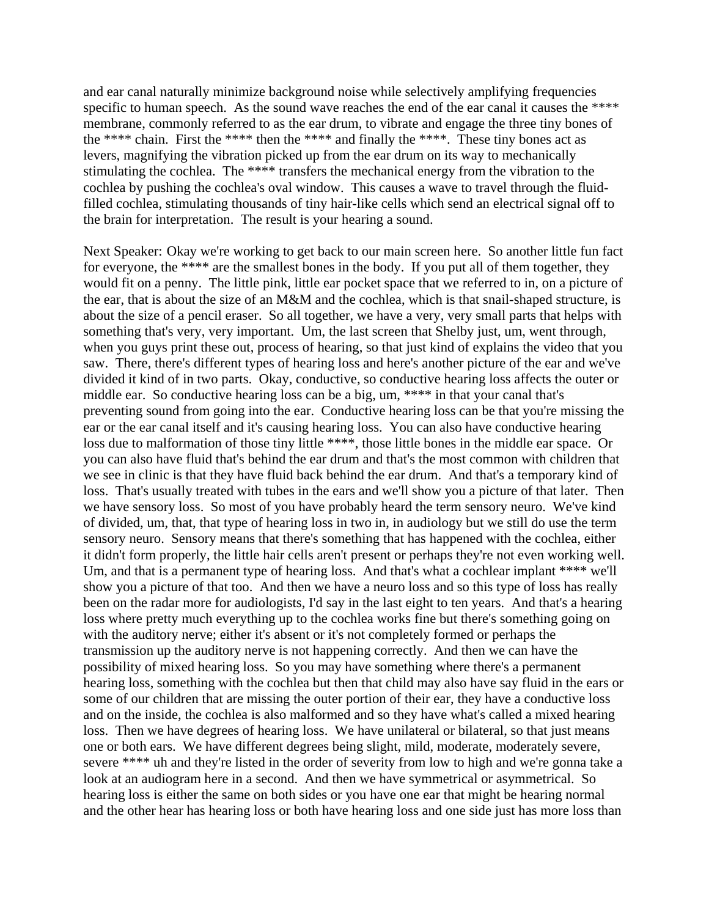and ear canal naturally minimize background noise while selectively amplifying frequencies specific to human speech. As the sound wave reaches the end of the ear canal it causes the \*\*\*\* membrane, commonly referred to as the ear drum, to vibrate and engage the three tiny bones of the \*\*\*\* chain. First the \*\*\*\* then the \*\*\*\* and finally the \*\*\*\*. These tiny bones act as levers, magnifying the vibration picked up from the ear drum on its way to mechanically stimulating the cochlea. The \*\*\*\* transfers the mechanical energy from the vibration to the cochlea by pushing the cochlea's oval window. This causes a wave to travel through the fluidfilled cochlea, stimulating thousands of tiny hair-like cells which send an electrical signal off to the brain for interpretation. The result is your hearing a sound.

Next Speaker: Okay we're working to get back to our main screen here. So another little fun fact for everyone, the \*\*\*\* are the smallest bones in the body. If you put all of them together, they would fit on a penny. The little pink, little ear pocket space that we referred to in, on a picture of the ear, that is about the size of an M&M and the cochlea, which is that snail-shaped structure, is about the size of a pencil eraser. So all together, we have a very, very small parts that helps with something that's very, very important. Um, the last screen that Shelby just, um, went through, when you guys print these out, process of hearing, so that just kind of explains the video that you saw. There, there's different types of hearing loss and here's another picture of the ear and we've divided it kind of in two parts. Okay, conductive, so conductive hearing loss affects the outer or middle ear. So conductive hearing loss can be a big, um, \*\*\*\* in that your canal that's preventing sound from going into the ear. Conductive hearing loss can be that you're missing the ear or the ear canal itself and it's causing hearing loss. You can also have conductive hearing loss due to malformation of those tiny little \*\*\*\*, those little bones in the middle ear space. Or you can also have fluid that's behind the ear drum and that's the most common with children that we see in clinic is that they have fluid back behind the ear drum. And that's a temporary kind of loss. That's usually treated with tubes in the ears and we'll show you a picture of that later. Then we have sensory loss. So most of you have probably heard the term sensory neuro. We've kind of divided, um, that, that type of hearing loss in two in, in audiology but we still do use the term sensory neuro. Sensory means that there's something that has happened with the cochlea, either it didn't form properly, the little hair cells aren't present or perhaps they're not even working well. Um, and that is a permanent type of hearing loss. And that's what a cochlear implant \*\*\*\* we'll show you a picture of that too. And then we have a neuro loss and so this type of loss has really been on the radar more for audiologists, I'd say in the last eight to ten years. And that's a hearing loss where pretty much everything up to the cochlea works fine but there's something going on with the auditory nerve; either it's absent or it's not completely formed or perhaps the transmission up the auditory nerve is not happening correctly. And then we can have the possibility of mixed hearing loss. So you may have something where there's a permanent hearing loss, something with the cochlea but then that child may also have say fluid in the ears or some of our children that are missing the outer portion of their ear, they have a conductive loss and on the inside, the cochlea is also malformed and so they have what's called a mixed hearing loss. Then we have degrees of hearing loss. We have unilateral or bilateral, so that just means one or both ears. We have different degrees being slight, mild, moderate, moderately severe, severe \*\*\*\* uh and they're listed in the order of severity from low to high and we're gonna take a look at an audiogram here in a second. And then we have symmetrical or asymmetrical. So hearing loss is either the same on both sides or you have one ear that might be hearing normal and the other hear has hearing loss or both have hearing loss and one side just has more loss than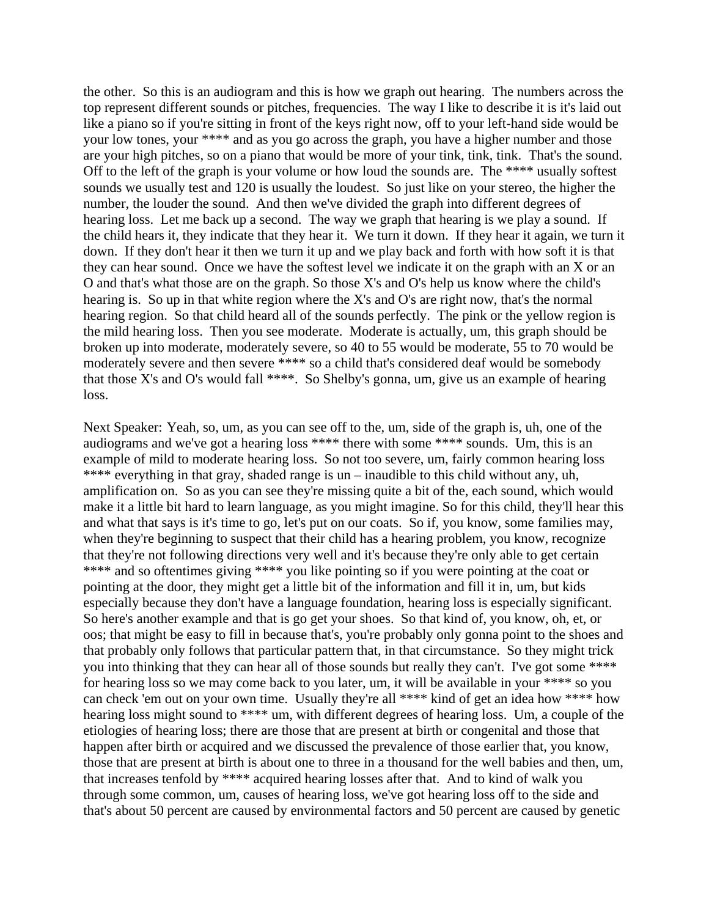the other. So this is an audiogram and this is how we graph out hearing. The numbers across the top represent different sounds or pitches, frequencies. The way I like to describe it is it's laid out like a piano so if you're sitting in front of the keys right now, off to your left-hand side would be your low tones, your \*\*\*\* and as you go across the graph, you have a higher number and those are your high pitches, so on a piano that would be more of your tink, tink, tink. That's the sound. Off to the left of the graph is your volume or how loud the sounds are. The \*\*\*\* usually softest sounds we usually test and 120 is usually the loudest. So just like on your stereo, the higher the number, the louder the sound. And then we've divided the graph into different degrees of hearing loss. Let me back up a second. The way we graph that hearing is we play a sound. If the child hears it, they indicate that they hear it. We turn it down. If they hear it again, we turn it down. If they don't hear it then we turn it up and we play back and forth with how soft it is that they can hear sound. Once we have the softest level we indicate it on the graph with an X or an O and that's what those are on the graph. So those X's and O's help us know where the child's hearing is. So up in that white region where the X's and O's are right now, that's the normal hearing region. So that child heard all of the sounds perfectly. The pink or the yellow region is the mild hearing loss. Then you see moderate. Moderate is actually, um, this graph should be broken up into moderate, moderately severe, so 40 to 55 would be moderate, 55 to 70 would be moderately severe and then severe \*\*\*\* so a child that's considered deaf would be somebody that those X's and O's would fall \*\*\*\*. So Shelby's gonna, um, give us an example of hearing loss.

Next Speaker: Yeah, so, um, as you can see off to the, um, side of the graph is, uh, one of the audiograms and we've got a hearing loss \*\*\*\* there with some \*\*\*\* sounds. Um, this is an example of mild to moderate hearing loss. So not too severe, um, fairly common hearing loss \*\*\*\* everything in that gray, shaded range is un – inaudible to this child without any, uh, amplification on. So as you can see they're missing quite a bit of the, each sound, which would make it a little bit hard to learn language, as you might imagine. So for this child, they'll hear this and what that says is it's time to go, let's put on our coats. So if, you know, some families may, when they're beginning to suspect that their child has a hearing problem, you know, recognize that they're not following directions very well and it's because they're only able to get certain \*\*\*\* and so oftentimes giving \*\*\*\* you like pointing so if you were pointing at the coat or pointing at the door, they might get a little bit of the information and fill it in, um, but kids especially because they don't have a language foundation, hearing loss is especially significant. So here's another example and that is go get your shoes. So that kind of, you know, oh, et, or oos; that might be easy to fill in because that's, you're probably only gonna point to the shoes and that probably only follows that particular pattern that, in that circumstance. So they might trick you into thinking that they can hear all of those sounds but really they can't. I've got some \*\*\*\* for hearing loss so we may come back to you later, um, it will be available in your \*\*\*\* so you can check 'em out on your own time. Usually they're all \*\*\*\* kind of get an idea how \*\*\*\* how hearing loss might sound to \*\*\*\* um, with different degrees of hearing loss. Um, a couple of the etiologies of hearing loss; there are those that are present at birth or congenital and those that happen after birth or acquired and we discussed the prevalence of those earlier that, you know, those that are present at birth is about one to three in a thousand for the well babies and then, um, that increases tenfold by \*\*\*\* acquired hearing losses after that. And to kind of walk you through some common, um, causes of hearing loss, we've got hearing loss off to the side and that's about 50 percent are caused by environmental factors and 50 percent are caused by genetic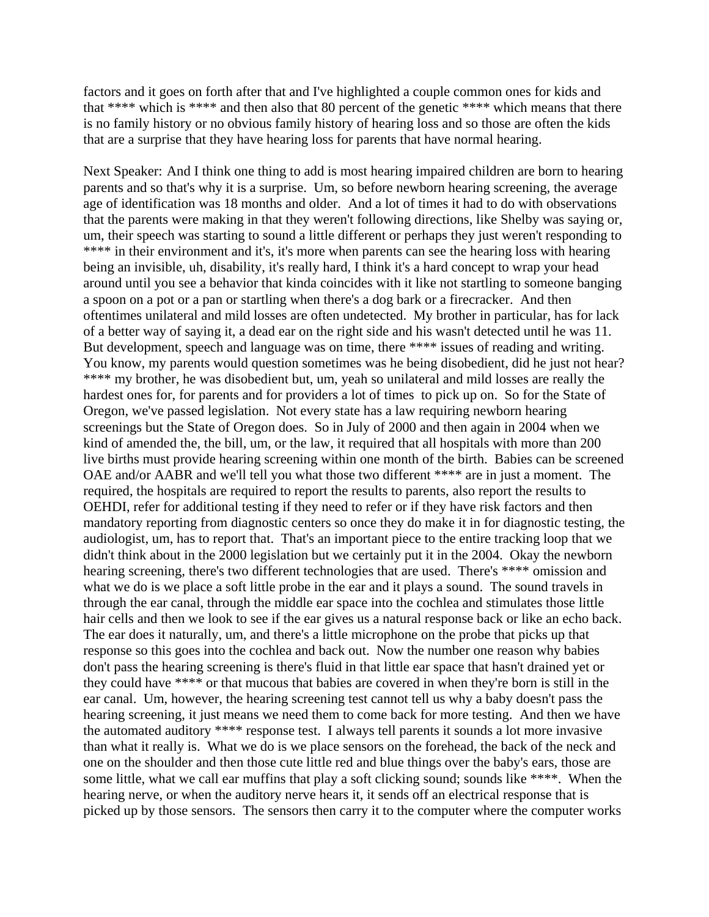factors and it goes on forth after that and I've highlighted a couple common ones for kids and that \*\*\*\* which is \*\*\*\* and then also that 80 percent of the genetic \*\*\*\* which means that there is no family history or no obvious family history of hearing loss and so those are often the kids that are a surprise that they have hearing loss for parents that have normal hearing.

Next Speaker: And I think one thing to add is most hearing impaired children are born to hearing parents and so that's why it is a surprise. Um, so before newborn hearing screening, the average age of identification was 18 months and older. And a lot of times it had to do with observations that the parents were making in that they weren't following directions, like Shelby was saying or, um, their speech was starting to sound a little different or perhaps they just weren't responding to \*\*\*\* in their environment and it's, it's more when parents can see the hearing loss with hearing being an invisible, uh, disability, it's really hard, I think it's a hard concept to wrap your head around until you see a behavior that kinda coincides with it like not startling to someone banging a spoon on a pot or a pan or startling when there's a dog bark or a firecracker. And then oftentimes unilateral and mild losses are often undetected. My brother in particular, has for lack of a better way of saying it, a dead ear on the right side and his wasn't detected until he was 11. But development, speech and language was on time, there \*\*\*\* issues of reading and writing. You know, my parents would question sometimes was he being disobedient, did he just not hear? \*\*\*\* my brother, he was disobedient but, um, yeah so unilateral and mild losses are really the hardest ones for, for parents and for providers a lot of times to pick up on. So for the State of Oregon, we've passed legislation. Not every state has a law requiring newborn hearing screenings but the State of Oregon does. So in July of 2000 and then again in 2004 when we kind of amended the, the bill, um, or the law, it required that all hospitals with more than 200 live births must provide hearing screening within one month of the birth. Babies can be screened OAE and/or AABR and we'll tell you what those two different \*\*\*\* are in just a moment. The required, the hospitals are required to report the results to parents, also report the results to OEHDI, refer for additional testing if they need to refer or if they have risk factors and then mandatory reporting from diagnostic centers so once they do make it in for diagnostic testing, the audiologist, um, has to report that. That's an important piece to the entire tracking loop that we didn't think about in the 2000 legislation but we certainly put it in the 2004. Okay the newborn hearing screening, there's two different technologies that are used. There's \*\*\*\* omission and what we do is we place a soft little probe in the ear and it plays a sound. The sound travels in through the ear canal, through the middle ear space into the cochlea and stimulates those little hair cells and then we look to see if the ear gives us a natural response back or like an echo back. The ear does it naturally, um, and there's a little microphone on the probe that picks up that response so this goes into the cochlea and back out. Now the number one reason why babies don't pass the hearing screening is there's fluid in that little ear space that hasn't drained yet or they could have \*\*\*\* or that mucous that babies are covered in when they're born is still in the ear canal. Um, however, the hearing screening test cannot tell us why a baby doesn't pass the hearing screening, it just means we need them to come back for more testing. And then we have the automated auditory \*\*\*\* response test. I always tell parents it sounds a lot more invasive than what it really is. What we do is we place sensors on the forehead, the back of the neck and one on the shoulder and then those cute little red and blue things over the baby's ears, those are some little, what we call ear muffins that play a soft clicking sound; sounds like \*\*\*\*. When the hearing nerve, or when the auditory nerve hears it, it sends off an electrical response that is picked up by those sensors. The sensors then carry it to the computer where the computer works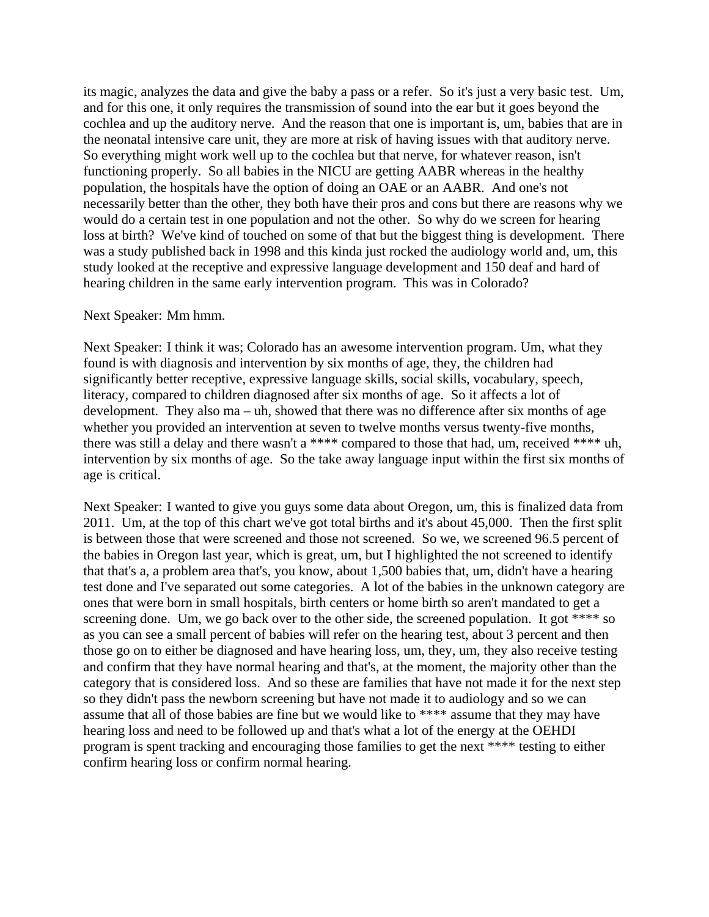its magic, analyzes the data and give the baby a pass or a refer. So it's just a very basic test. Um, and for this one, it only requires the transmission of sound into the ear but it goes beyond the cochlea and up the auditory nerve. And the reason that one is important is, um, babies that are in the neonatal intensive care unit, they are more at risk of having issues with that auditory nerve. So everything might work well up to the cochlea but that nerve, for whatever reason, isn't functioning properly. So all babies in the NICU are getting AABR whereas in the healthy population, the hospitals have the option of doing an OAE or an AABR. And one's not necessarily better than the other, they both have their pros and cons but there are reasons why we would do a certain test in one population and not the other. So why do we screen for hearing loss at birth? We've kind of touched on some of that but the biggest thing is development. There was a study published back in 1998 and this kinda just rocked the audiology world and, um, this study looked at the receptive and expressive language development and 150 deaf and hard of hearing children in the same early intervention program. This was in Colorado?

## Next Speaker: Mm hmm.

Next Speaker: I think it was; Colorado has an awesome intervention program. Um, what they found is with diagnosis and intervention by six months of age, they, the children had significantly better receptive, expressive language skills, social skills, vocabulary, speech, literacy, compared to children diagnosed after six months of age. So it affects a lot of development. They also ma – uh, showed that there was no difference after six months of age whether you provided an intervention at seven to twelve months versus twenty-five months, there was still a delay and there wasn't a \*\*\*\* compared to those that had, um, received \*\*\*\* uh, intervention by six months of age. So the take away language input within the first six months of age is critical.

Next Speaker: I wanted to give you guys some data about Oregon, um, this is finalized data from 2011. Um, at the top of this chart we've got total births and it's about 45,000. Then the first split is between those that were screened and those not screened. So we, we screened 96.5 percent of the babies in Oregon last year, which is great, um, but I highlighted the not screened to identify that that's a, a problem area that's, you know, about 1,500 babies that, um, didn't have a hearing test done and I've separated out some categories. A lot of the babies in the unknown category are ones that were born in small hospitals, birth centers or home birth so aren't mandated to get a screening done. Um, we go back over to the other side, the screened population. It got \*\*\*\* so as you can see a small percent of babies will refer on the hearing test, about 3 percent and then those go on to either be diagnosed and have hearing loss, um, they, um, they also receive testing and confirm that they have normal hearing and that's, at the moment, the majority other than the category that is considered loss. And so these are families that have not made it for the next step so they didn't pass the newborn screening but have not made it to audiology and so we can assume that all of those babies are fine but we would like to \*\*\*\* assume that they may have hearing loss and need to be followed up and that's what a lot of the energy at the OEHDI program is spent tracking and encouraging those families to get the next \*\*\*\* testing to either confirm hearing loss or confirm normal hearing.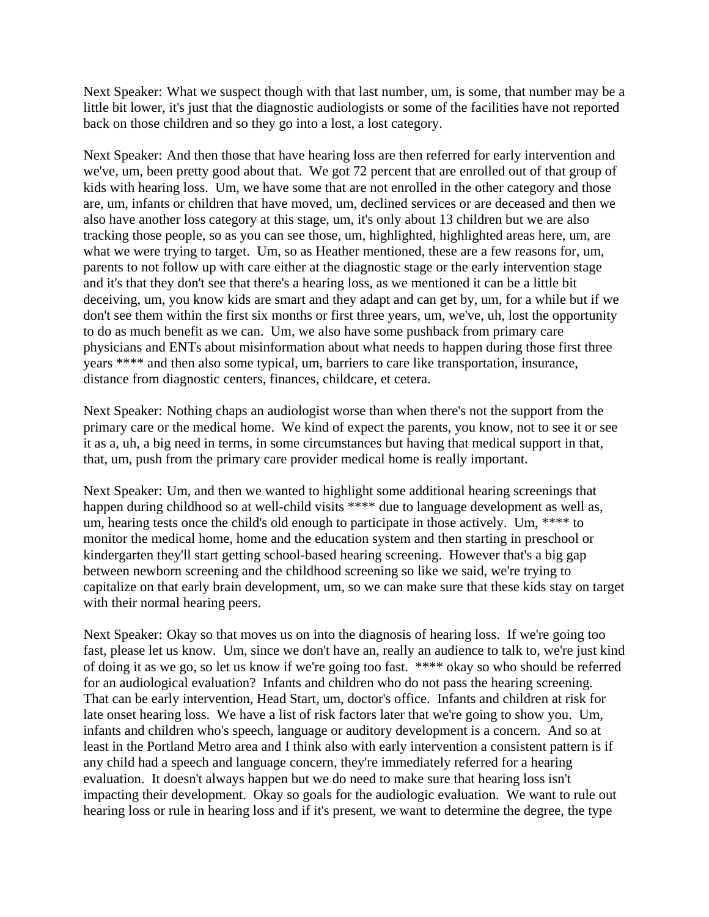Next Speaker: What we suspect though with that last number, um, is some, that number may be a little bit lower, it's just that the diagnostic audiologists or some of the facilities have not reported back on those children and so they go into a lost, a lost category.

Next Speaker: And then those that have hearing loss are then referred for early intervention and we've, um, been pretty good about that. We got 72 percent that are enrolled out of that group of kids with hearing loss. Um, we have some that are not enrolled in the other category and those are, um, infants or children that have moved, um, declined services or are deceased and then we also have another loss category at this stage, um, it's only about 13 children but we are also tracking those people, so as you can see those, um, highlighted, highlighted areas here, um, are what we were trying to target. Um, so as Heather mentioned, these are a few reasons for, um, parents to not follow up with care either at the diagnostic stage or the early intervention stage and it's that they don't see that there's a hearing loss, as we mentioned it can be a little bit deceiving, um, you know kids are smart and they adapt and can get by, um, for a while but if we don't see them within the first six months or first three years, um, we've, uh, lost the opportunity to do as much benefit as we can. Um, we also have some pushback from primary care physicians and ENTs about misinformation about what needs to happen during those first three years \*\*\*\* and then also some typical, um, barriers to care like transportation, insurance, distance from diagnostic centers, finances, childcare, et cetera.

Next Speaker: Nothing chaps an audiologist worse than when there's not the support from the primary care or the medical home. We kind of expect the parents, you know, not to see it or see it as a, uh, a big need in terms, in some circumstances but having that medical support in that, that, um, push from the primary care provider medical home is really important.

Next Speaker: Um, and then we wanted to highlight some additional hearing screenings that happen during childhood so at well-child visits \*\*\*\* due to language development as well as, um, hearing tests once the child's old enough to participate in those actively. Um, \*\*\*\* to monitor the medical home, home and the education system and then starting in preschool or kindergarten they'll start getting school-based hearing screening. However that's a big gap between newborn screening and the childhood screening so like we said, we're trying to capitalize on that early brain development, um, so we can make sure that these kids stay on target with their normal hearing peers.

Next Speaker: Okay so that moves us on into the diagnosis of hearing loss. If we're going too fast, please let us know. Um, since we don't have an, really an audience to talk to, we're just kind of doing it as we go, so let us know if we're going too fast. \*\*\*\* okay so who should be referred for an audiological evaluation? Infants and children who do not pass the hearing screening. That can be early intervention, Head Start, um, doctor's office. Infants and children at risk for late onset hearing loss. We have a list of risk factors later that we're going to show you. Um, infants and children who's speech, language or auditory development is a concern. And so at least in the Portland Metro area and I think also with early intervention a consistent pattern is if any child had a speech and language concern, they're immediately referred for a hearing evaluation. It doesn't always happen but we do need to make sure that hearing loss isn't impacting their development. Okay so goals for the audiologic evaluation. We want to rule out hearing loss or rule in hearing loss and if it's present, we want to determine the degree, the type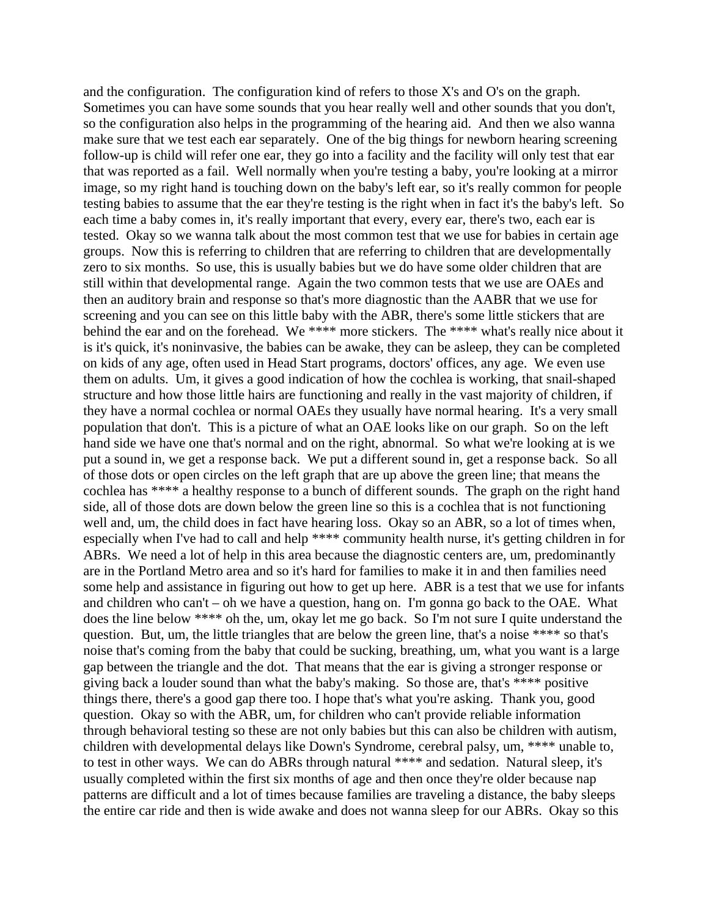and the configuration. The configuration kind of refers to those X's and O's on the graph. Sometimes you can have some sounds that you hear really well and other sounds that you don't, so the configuration also helps in the programming of the hearing aid. And then we also wanna make sure that we test each ear separately. One of the big things for newborn hearing screening follow-up is child will refer one ear, they go into a facility and the facility will only test that ear that was reported as a fail. Well normally when you're testing a baby, you're looking at a mirror image, so my right hand is touching down on the baby's left ear, so it's really common for people testing babies to assume that the ear they're testing is the right when in fact it's the baby's left. So each time a baby comes in, it's really important that every, every ear, there's two, each ear is tested. Okay so we wanna talk about the most common test that we use for babies in certain age groups. Now this is referring to children that are referring to children that are developmentally zero to six months. So use, this is usually babies but we do have some older children that are still within that developmental range. Again the two common tests that we use are OAEs and then an auditory brain and response so that's more diagnostic than the AABR that we use for screening and you can see on this little baby with the ABR, there's some little stickers that are behind the ear and on the forehead. We \*\*\*\* more stickers. The \*\*\*\* what's really nice about it is it's quick, it's noninvasive, the babies can be awake, they can be asleep, they can be completed on kids of any age, often used in Head Start programs, doctors' offices, any age. We even use them on adults. Um, it gives a good indication of how the cochlea is working, that snail-shaped structure and how those little hairs are functioning and really in the vast majority of children, if they have a normal cochlea or normal OAEs they usually have normal hearing. It's a very small population that don't. This is a picture of what an OAE looks like on our graph. So on the left hand side we have one that's normal and on the right, abnormal. So what we're looking at is we put a sound in, we get a response back. We put a different sound in, get a response back. So all of those dots or open circles on the left graph that are up above the green line; that means the cochlea has \*\*\*\* a healthy response to a bunch of different sounds. The graph on the right hand side, all of those dots are down below the green line so this is a cochlea that is not functioning well and, um, the child does in fact have hearing loss. Okay so an ABR, so a lot of times when, especially when I've had to call and help \*\*\*\* community health nurse, it's getting children in for ABRs. We need a lot of help in this area because the diagnostic centers are, um, predominantly are in the Portland Metro area and so it's hard for families to make it in and then families need some help and assistance in figuring out how to get up here. ABR is a test that we use for infants and children who can't – oh we have a question, hang on. I'm gonna go back to the OAE. What does the line below \*\*\*\* oh the, um, okay let me go back. So I'm not sure I quite understand the question. But, um, the little triangles that are below the green line, that's a noise \*\*\*\* so that's noise that's coming from the baby that could be sucking, breathing, um, what you want is a large gap between the triangle and the dot. That means that the ear is giving a stronger response or giving back a louder sound than what the baby's making. So those are, that's \*\*\*\* positive things there, there's a good gap there too. I hope that's what you're asking. Thank you, good question. Okay so with the ABR, um, for children who can't provide reliable information through behavioral testing so these are not only babies but this can also be children with autism, children with developmental delays like Down's Syndrome, cerebral palsy, um, \*\*\*\* unable to, to test in other ways. We can do ABRs through natural \*\*\*\* and sedation. Natural sleep, it's usually completed within the first six months of age and then once they're older because nap patterns are difficult and a lot of times because families are traveling a distance, the baby sleeps the entire car ride and then is wide awake and does not wanna sleep for our ABRs. Okay so this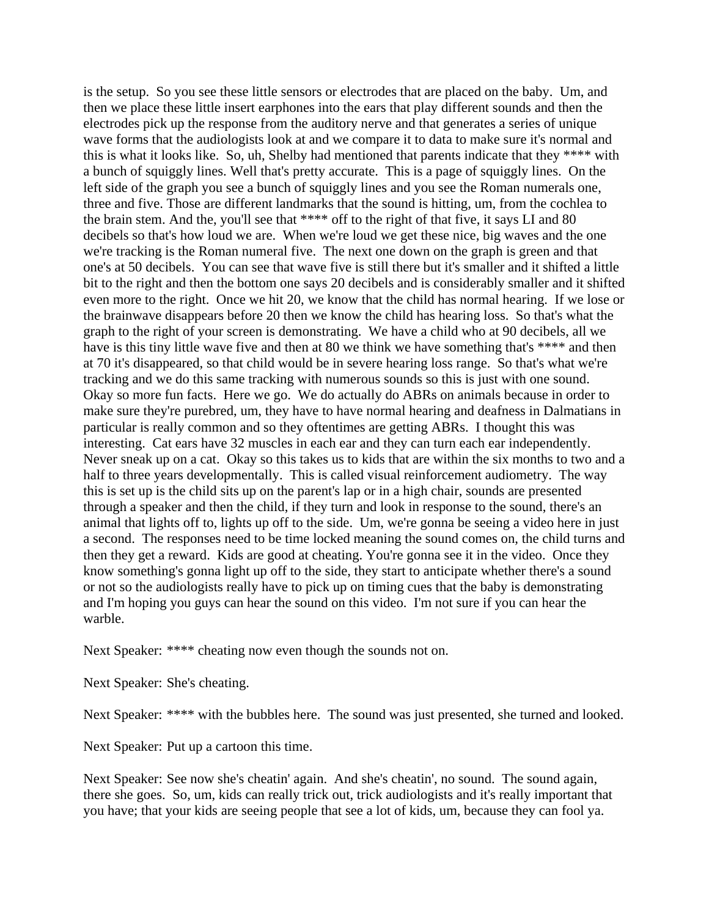is the setup. So you see these little sensors or electrodes that are placed on the baby. Um, and then we place these little insert earphones into the ears that play different sounds and then the electrodes pick up the response from the auditory nerve and that generates a series of unique wave forms that the audiologists look at and we compare it to data to make sure it's normal and this is what it looks like. So, uh, Shelby had mentioned that parents indicate that they \*\*\*\* with a bunch of squiggly lines. Well that's pretty accurate. This is a page of squiggly lines. On the left side of the graph you see a bunch of squiggly lines and you see the Roman numerals one, three and five. Those are different landmarks that the sound is hitting, um, from the cochlea to the brain stem. And the, you'll see that \*\*\*\* off to the right of that five, it says LI and 80 decibels so that's how loud we are. When we're loud we get these nice, big waves and the one we're tracking is the Roman numeral five. The next one down on the graph is green and that one's at 50 decibels. You can see that wave five is still there but it's smaller and it shifted a little bit to the right and then the bottom one says 20 decibels and is considerably smaller and it shifted even more to the right. Once we hit 20, we know that the child has normal hearing. If we lose or the brainwave disappears before 20 then we know the child has hearing loss. So that's what the graph to the right of your screen is demonstrating. We have a child who at 90 decibels, all we have is this tiny little wave five and then at 80 we think we have something that's \*\*\*\* and then at 70 it's disappeared, so that child would be in severe hearing loss range. So that's what we're tracking and we do this same tracking with numerous sounds so this is just with one sound. Okay so more fun facts. Here we go. We do actually do ABRs on animals because in order to make sure they're purebred, um, they have to have normal hearing and deafness in Dalmatians in particular is really common and so they oftentimes are getting ABRs. I thought this was interesting. Cat ears have 32 muscles in each ear and they can turn each ear independently. Never sneak up on a cat. Okay so this takes us to kids that are within the six months to two and a half to three years developmentally. This is called visual reinforcement audiometry. The way this is set up is the child sits up on the parent's lap or in a high chair, sounds are presented through a speaker and then the child, if they turn and look in response to the sound, there's an animal that lights off to, lights up off to the side. Um, we're gonna be seeing a video here in just a second. The responses need to be time locked meaning the sound comes on, the child turns and then they get a reward. Kids are good at cheating. You're gonna see it in the video. Once they know something's gonna light up off to the side, they start to anticipate whether there's a sound or not so the audiologists really have to pick up on timing cues that the baby is demonstrating and I'm hoping you guys can hear the sound on this video. I'm not sure if you can hear the warble.

Next Speaker: \*\*\*\* cheating now even though the sounds not on.

Next Speaker: She's cheating.

Next Speaker: \*\*\*\* with the bubbles here. The sound was just presented, she turned and looked.

Next Speaker: Put up a cartoon this time.

Next Speaker: See now she's cheatin' again. And she's cheatin', no sound. The sound again, there she goes. So, um, kids can really trick out, trick audiologists and it's really important that you have; that your kids are seeing people that see a lot of kids, um, because they can fool ya.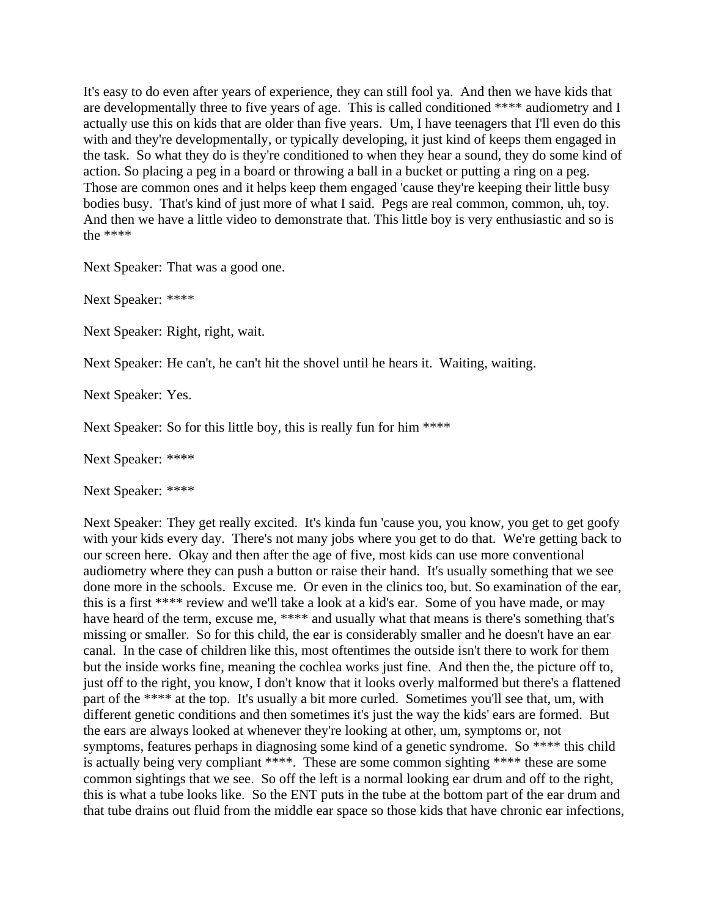It's easy to do even after years of experience, they can still fool ya. And then we have kids that are developmentally three to five years of age. This is called conditioned \*\*\*\* audiometry and I actually use this on kids that are older than five years. Um, I have teenagers that I'll even do this with and they're developmentally, or typically developing, it just kind of keeps them engaged in the task. So what they do is they're conditioned to when they hear a sound, they do some kind of action. So placing a peg in a board or throwing a ball in a bucket or putting a ring on a peg. Those are common ones and it helps keep them engaged 'cause they're keeping their little busy bodies busy. That's kind of just more of what I said. Pegs are real common, common, uh, toy. And then we have a little video to demonstrate that. This little boy is very enthusiastic and so is the \*\*\*\*

Next Speaker: That was a good one.

Next Speaker: \*\*\*\*

Next Speaker: Right, right, wait.

Next Speaker: He can't, he can't hit the shovel until he hears it. Waiting, waiting.

Next Speaker: Yes.

Next Speaker: So for this little boy, this is really fun for him \*\*\*\*

Next Speaker: \*\*\*\*

Next Speaker: \*\*\*\*

Next Speaker: They get really excited. It's kinda fun 'cause you, you know, you get to get goofy with your kids every day. There's not many jobs where you get to do that. We're getting back to our screen here. Okay and then after the age of five, most kids can use more conventional audiometry where they can push a button or raise their hand. It's usually something that we see done more in the schools. Excuse me. Or even in the clinics too, but. So examination of the ear, this is a first \*\*\*\* review and we'll take a look at a kid's ear. Some of you have made, or may have heard of the term, excuse me, \*\*\*\* and usually what that means is there's something that's missing or smaller. So for this child, the ear is considerably smaller and he doesn't have an ear canal. In the case of children like this, most oftentimes the outside isn't there to work for them but the inside works fine, meaning the cochlea works just fine. And then the, the picture off to, just off to the right, you know, I don't know that it looks overly malformed but there's a flattened part of the \*\*\*\* at the top. It's usually a bit more curled. Sometimes you'll see that, um, with different genetic conditions and then sometimes it's just the way the kids' ears are formed. But the ears are always looked at whenever they're looking at other, um, symptoms or, not symptoms, features perhaps in diagnosing some kind of a genetic syndrome. So \*\*\*\* this child is actually being very compliant \*\*\*\*. These are some common sighting \*\*\*\* these are some common sightings that we see. So off the left is a normal looking ear drum and off to the right, this is what a tube looks like. So the ENT puts in the tube at the bottom part of the ear drum and that tube drains out fluid from the middle ear space so those kids that have chronic ear infections,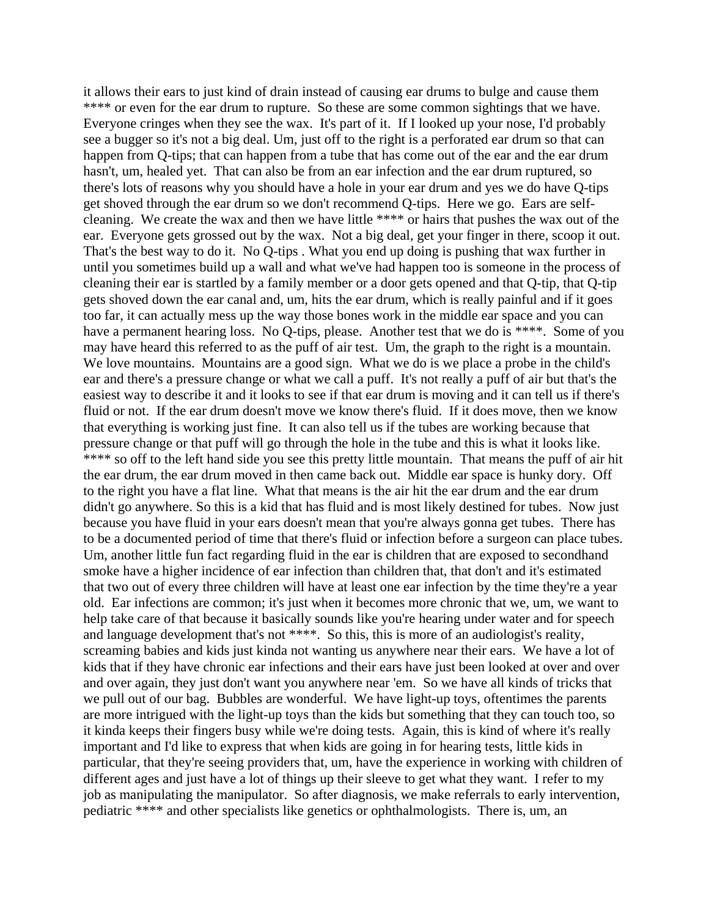it allows their ears to just kind of drain instead of causing ear drums to bulge and cause them \*\*\*\* or even for the ear drum to rupture. So these are some common sightings that we have. Everyone cringes when they see the wax. It's part of it. If I looked up your nose, I'd probably see a bugger so it's not a big deal. Um, just off to the right is a perforated ear drum so that can happen from Q-tips; that can happen from a tube that has come out of the ear and the ear drum hasn't, um, healed yet. That can also be from an ear infection and the ear drum ruptured, so there's lots of reasons why you should have a hole in your ear drum and yes we do have Q-tips get shoved through the ear drum so we don't recommend Q-tips. Here we go. Ears are selfcleaning. We create the wax and then we have little \*\*\*\* or hairs that pushes the wax out of the ear. Everyone gets grossed out by the wax. Not a big deal, get your finger in there, scoop it out. That's the best way to do it. No Q-tips . What you end up doing is pushing that wax further in until you sometimes build up a wall and what we've had happen too is someone in the process of cleaning their ear is startled by a family member or a door gets opened and that Q-tip, that Q-tip gets shoved down the ear canal and, um, hits the ear drum, which is really painful and if it goes too far, it can actually mess up the way those bones work in the middle ear space and you can have a permanent hearing loss. No Q-tips, please. Another test that we do is \*\*\*\*. Some of you may have heard this referred to as the puff of air test. Um, the graph to the right is a mountain. We love mountains. Mountains are a good sign. What we do is we place a probe in the child's ear and there's a pressure change or what we call a puff. It's not really a puff of air but that's the easiest way to describe it and it looks to see if that ear drum is moving and it can tell us if there's fluid or not. If the ear drum doesn't move we know there's fluid. If it does move, then we know that everything is working just fine. It can also tell us if the tubes are working because that pressure change or that puff will go through the hole in the tube and this is what it looks like. \*\*\*\* so off to the left hand side you see this pretty little mountain. That means the puff of air hit the ear drum, the ear drum moved in then came back out. Middle ear space is hunky dory. Off to the right you have a flat line. What that means is the air hit the ear drum and the ear drum didn't go anywhere. So this is a kid that has fluid and is most likely destined for tubes. Now just because you have fluid in your ears doesn't mean that you're always gonna get tubes. There has to be a documented period of time that there's fluid or infection before a surgeon can place tubes. Um, another little fun fact regarding fluid in the ear is children that are exposed to secondhand smoke have a higher incidence of ear infection than children that, that don't and it's estimated that two out of every three children will have at least one ear infection by the time they're a year old. Ear infections are common; it's just when it becomes more chronic that we, um, we want to help take care of that because it basically sounds like you're hearing under water and for speech and language development that's not \*\*\*\*. So this, this is more of an audiologist's reality, screaming babies and kids just kinda not wanting us anywhere near their ears. We have a lot of kids that if they have chronic ear infections and their ears have just been looked at over and over and over again, they just don't want you anywhere near 'em. So we have all kinds of tricks that we pull out of our bag. Bubbles are wonderful. We have light-up toys, oftentimes the parents are more intrigued with the light-up toys than the kids but something that they can touch too, so it kinda keeps their fingers busy while we're doing tests. Again, this is kind of where it's really important and I'd like to express that when kids are going in for hearing tests, little kids in particular, that they're seeing providers that, um, have the experience in working with children of different ages and just have a lot of things up their sleeve to get what they want. I refer to my job as manipulating the manipulator. So after diagnosis, we make referrals to early intervention, pediatric \*\*\*\* and other specialists like genetics or ophthalmologists. There is, um, an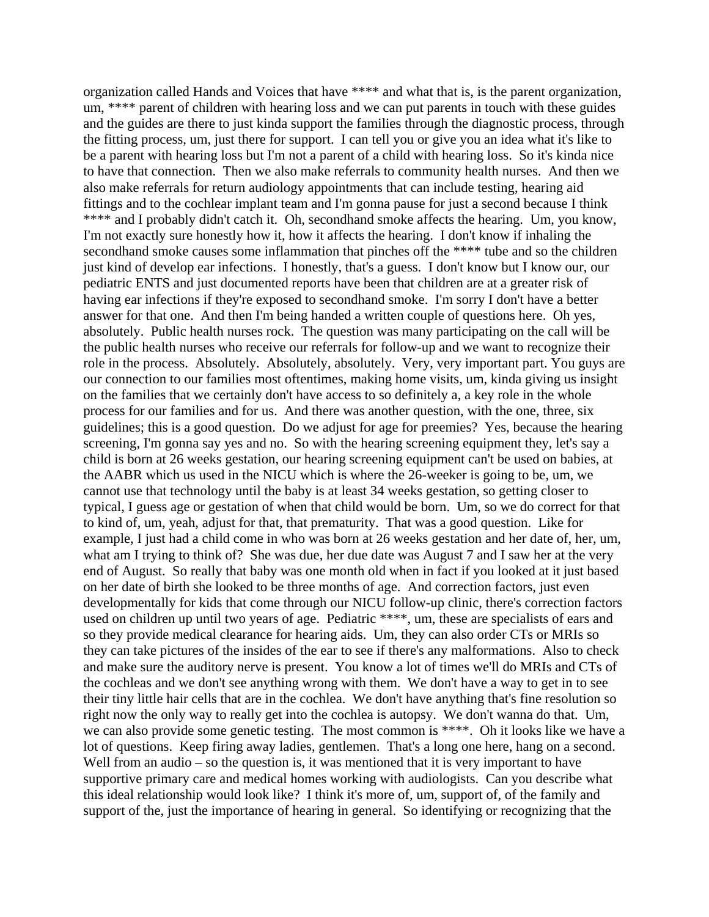organization called Hands and Voices that have \*\*\*\* and what that is, is the parent organization, um, \*\*\*\* parent of children with hearing loss and we can put parents in touch with these guides and the guides are there to just kinda support the families through the diagnostic process, through the fitting process, um, just there for support. I can tell you or give you an idea what it's like to be a parent with hearing loss but I'm not a parent of a child with hearing loss. So it's kinda nice to have that connection. Then we also make referrals to community health nurses. And then we also make referrals for return audiology appointments that can include testing, hearing aid fittings and to the cochlear implant team and I'm gonna pause for just a second because I think \*\*\*\* and I probably didn't catch it. Oh, secondhand smoke affects the hearing. Um, you know, I'm not exactly sure honestly how it, how it affects the hearing. I don't know if inhaling the secondhand smoke causes some inflammation that pinches off the \*\*\*\* tube and so the children just kind of develop ear infections. I honestly, that's a guess. I don't know but I know our, our pediatric ENTS and just documented reports have been that children are at a greater risk of having ear infections if they're exposed to secondhand smoke. I'm sorry I don't have a better answer for that one. And then I'm being handed a written couple of questions here. Oh yes, absolutely. Public health nurses rock. The question was many participating on the call will be the public health nurses who receive our referrals for follow-up and we want to recognize their role in the process. Absolutely. Absolutely, absolutely. Very, very important part. You guys are our connection to our families most oftentimes, making home visits, um, kinda giving us insight on the families that we certainly don't have access to so definitely a, a key role in the whole process for our families and for us. And there was another question, with the one, three, six guidelines; this is a good question. Do we adjust for age for preemies? Yes, because the hearing screening, I'm gonna say yes and no. So with the hearing screening equipment they, let's say a child is born at 26 weeks gestation, our hearing screening equipment can't be used on babies, at the AABR which us used in the NICU which is where the 26-weeker is going to be, um, we cannot use that technology until the baby is at least 34 weeks gestation, so getting closer to typical, I guess age or gestation of when that child would be born. Um, so we do correct for that to kind of, um, yeah, adjust for that, that prematurity. That was a good question. Like for example, I just had a child come in who was born at 26 weeks gestation and her date of, her, um, what am I trying to think of? She was due, her due date was August 7 and I saw her at the very end of August. So really that baby was one month old when in fact if you looked at it just based on her date of birth she looked to be three months of age. And correction factors, just even developmentally for kids that come through our NICU follow-up clinic, there's correction factors used on children up until two years of age. Pediatric \*\*\*\*, um, these are specialists of ears and so they provide medical clearance for hearing aids. Um, they can also order CTs or MRIs so they can take pictures of the insides of the ear to see if there's any malformations. Also to check and make sure the auditory nerve is present. You know a lot of times we'll do MRIs and CTs of the cochleas and we don't see anything wrong with them. We don't have a way to get in to see their tiny little hair cells that are in the cochlea. We don't have anything that's fine resolution so right now the only way to really get into the cochlea is autopsy. We don't wanna do that. Um, we can also provide some genetic testing. The most common is \*\*\*\*. Oh it looks like we have a lot of questions. Keep firing away ladies, gentlemen. That's a long one here, hang on a second. Well from an audio – so the question is, it was mentioned that it is very important to have supportive primary care and medical homes working with audiologists. Can you describe what this ideal relationship would look like? I think it's more of, um, support of, of the family and support of the, just the importance of hearing in general. So identifying or recognizing that the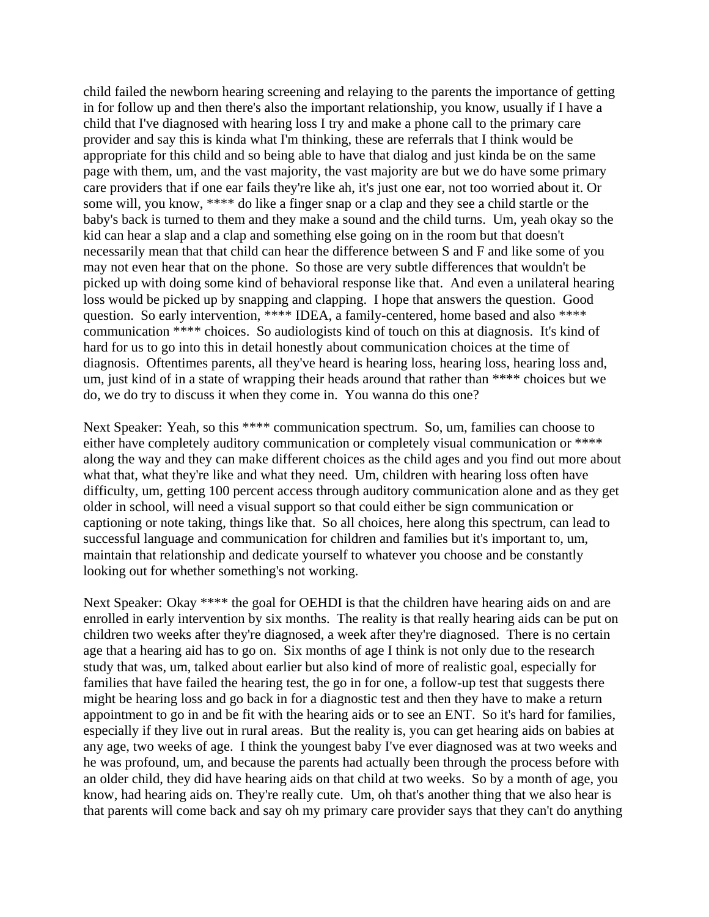child failed the newborn hearing screening and relaying to the parents the importance of getting in for follow up and then there's also the important relationship, you know, usually if I have a child that I've diagnosed with hearing loss I try and make a phone call to the primary care provider and say this is kinda what I'm thinking, these are referrals that I think would be appropriate for this child and so being able to have that dialog and just kinda be on the same page with them, um, and the vast majority, the vast majority are but we do have some primary care providers that if one ear fails they're like ah, it's just one ear, not too worried about it. Or some will, you know, \*\*\*\* do like a finger snap or a clap and they see a child startle or the baby's back is turned to them and they make a sound and the child turns. Um, yeah okay so the kid can hear a slap and a clap and something else going on in the room but that doesn't necessarily mean that that child can hear the difference between S and F and like some of you may not even hear that on the phone. So those are very subtle differences that wouldn't be picked up with doing some kind of behavioral response like that. And even a unilateral hearing loss would be picked up by snapping and clapping. I hope that answers the question. Good question. So early intervention, \*\*\*\* IDEA, a family-centered, home based and also \*\*\*\* communication \*\*\*\* choices. So audiologists kind of touch on this at diagnosis. It's kind of hard for us to go into this in detail honestly about communication choices at the time of diagnosis. Oftentimes parents, all they've heard is hearing loss, hearing loss, hearing loss and, um, just kind of in a state of wrapping their heads around that rather than \*\*\*\* choices but we do, we do try to discuss it when they come in. You wanna do this one?

Next Speaker: Yeah, so this \*\*\*\* communication spectrum. So, um, families can choose to either have completely auditory communication or completely visual communication or \*\*\*\* along the way and they can make different choices as the child ages and you find out more about what that, what they're like and what they need. Um, children with hearing loss often have difficulty, um, getting 100 percent access through auditory communication alone and as they get older in school, will need a visual support so that could either be sign communication or captioning or note taking, things like that. So all choices, here along this spectrum, can lead to successful language and communication for children and families but it's important to, um, maintain that relationship and dedicate yourself to whatever you choose and be constantly looking out for whether something's not working.

Next Speaker: Okay \*\*\*\* the goal for OEHDI is that the children have hearing aids on and are enrolled in early intervention by six months. The reality is that really hearing aids can be put on children two weeks after they're diagnosed, a week after they're diagnosed. There is no certain age that a hearing aid has to go on. Six months of age I think is not only due to the research study that was, um, talked about earlier but also kind of more of realistic goal, especially for families that have failed the hearing test, the go in for one, a follow-up test that suggests there might be hearing loss and go back in for a diagnostic test and then they have to make a return appointment to go in and be fit with the hearing aids or to see an ENT. So it's hard for families, especially if they live out in rural areas. But the reality is, you can get hearing aids on babies at any age, two weeks of age. I think the youngest baby I've ever diagnosed was at two weeks and he was profound, um, and because the parents had actually been through the process before with an older child, they did have hearing aids on that child at two weeks. So by a month of age, you know, had hearing aids on. They're really cute. Um, oh that's another thing that we also hear is that parents will come back and say oh my primary care provider says that they can't do anything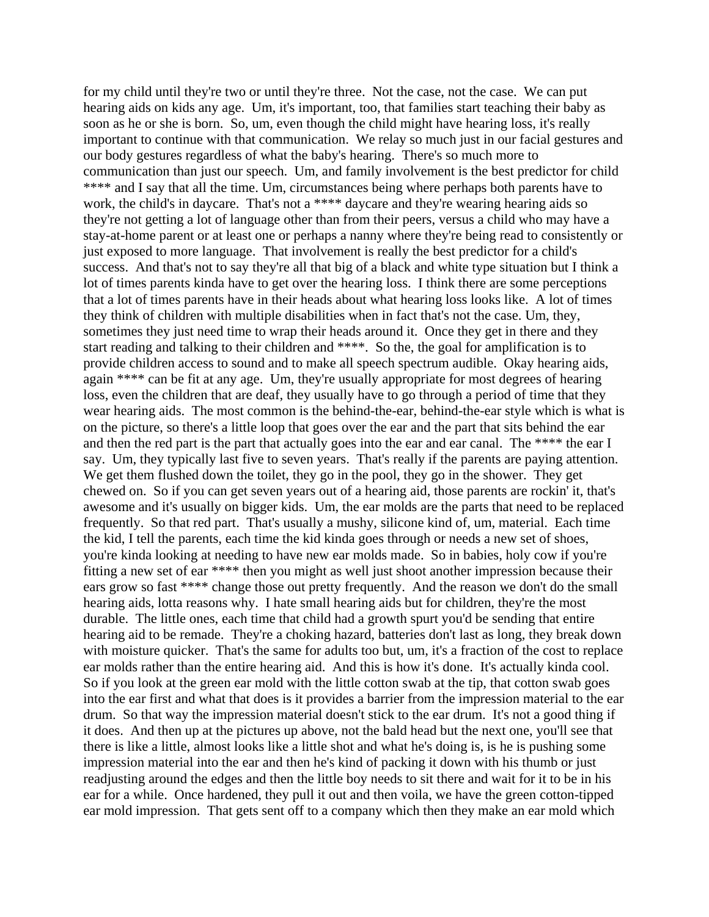for my child until they're two or until they're three. Not the case, not the case. We can put hearing aids on kids any age. Um, it's important, too, that families start teaching their baby as soon as he or she is born. So, um, even though the child might have hearing loss, it's really important to continue with that communication. We relay so much just in our facial gestures and our body gestures regardless of what the baby's hearing. There's so much more to communication than just our speech. Um, and family involvement is the best predictor for child \*\*\*\* and I say that all the time. Um, circumstances being where perhaps both parents have to work, the child's in daycare. That's not a \*\*\*\* daycare and they're wearing hearing aids so they're not getting a lot of language other than from their peers, versus a child who may have a stay-at-home parent or at least one or perhaps a nanny where they're being read to consistently or just exposed to more language. That involvement is really the best predictor for a child's success. And that's not to say they're all that big of a black and white type situation but I think a lot of times parents kinda have to get over the hearing loss. I think there are some perceptions that a lot of times parents have in their heads about what hearing loss looks like. A lot of times they think of children with multiple disabilities when in fact that's not the case. Um, they, sometimes they just need time to wrap their heads around it. Once they get in there and they start reading and talking to their children and \*\*\*\*. So the, the goal for amplification is to provide children access to sound and to make all speech spectrum audible. Okay hearing aids, again \*\*\*\* can be fit at any age. Um, they're usually appropriate for most degrees of hearing loss, even the children that are deaf, they usually have to go through a period of time that they wear hearing aids. The most common is the behind-the-ear, behind-the-ear style which is what is on the picture, so there's a little loop that goes over the ear and the part that sits behind the ear and then the red part is the part that actually goes into the ear and ear canal. The \*\*\*\* the ear I say. Um, they typically last five to seven years. That's really if the parents are paying attention. We get them flushed down the toilet, they go in the pool, they go in the shower. They get chewed on. So if you can get seven years out of a hearing aid, those parents are rockin' it, that's awesome and it's usually on bigger kids. Um, the ear molds are the parts that need to be replaced frequently. So that red part. That's usually a mushy, silicone kind of, um, material. Each time the kid, I tell the parents, each time the kid kinda goes through or needs a new set of shoes, you're kinda looking at needing to have new ear molds made. So in babies, holy cow if you're fitting a new set of ear \*\*\*\* then you might as well just shoot another impression because their ears grow so fast \*\*\*\* change those out pretty frequently. And the reason we don't do the small hearing aids, lotta reasons why. I hate small hearing aids but for children, they're the most durable. The little ones, each time that child had a growth spurt you'd be sending that entire hearing aid to be remade. They're a choking hazard, batteries don't last as long, they break down with moisture quicker. That's the same for adults too but, um, it's a fraction of the cost to replace ear molds rather than the entire hearing aid. And this is how it's done. It's actually kinda cool. So if you look at the green ear mold with the little cotton swab at the tip, that cotton swab goes into the ear first and what that does is it provides a barrier from the impression material to the ear drum. So that way the impression material doesn't stick to the ear drum. It's not a good thing if it does. And then up at the pictures up above, not the bald head but the next one, you'll see that there is like a little, almost looks like a little shot and what he's doing is, is he is pushing some impression material into the ear and then he's kind of packing it down with his thumb or just readjusting around the edges and then the little boy needs to sit there and wait for it to be in his ear for a while. Once hardened, they pull it out and then voila, we have the green cotton-tipped ear mold impression. That gets sent off to a company which then they make an ear mold which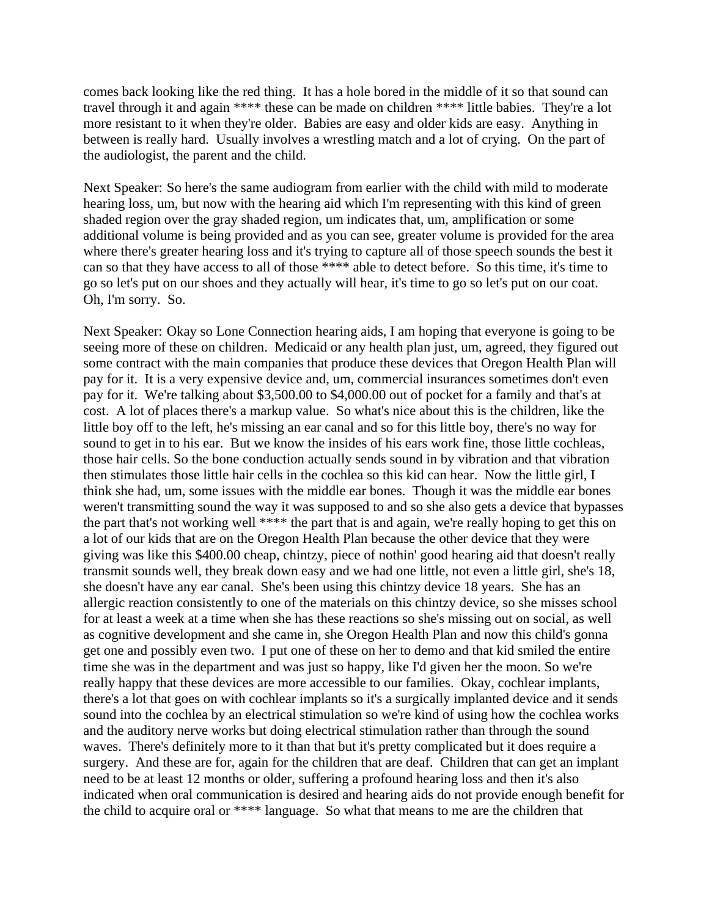comes back looking like the red thing. It has a hole bored in the middle of it so that sound can travel through it and again \*\*\*\* these can be made on children \*\*\*\* little babies. They're a lot more resistant to it when they're older. Babies are easy and older kids are easy. Anything in between is really hard. Usually involves a wrestling match and a lot of crying. On the part of the audiologist, the parent and the child.

Next Speaker: So here's the same audiogram from earlier with the child with mild to moderate hearing loss, um, but now with the hearing aid which I'm representing with this kind of green shaded region over the gray shaded region, um indicates that, um, amplification or some additional volume is being provided and as you can see, greater volume is provided for the area where there's greater hearing loss and it's trying to capture all of those speech sounds the best it can so that they have access to all of those \*\*\*\* able to detect before. So this time, it's time to go so let's put on our shoes and they actually will hear, it's time to go so let's put on our coat. Oh, I'm sorry. So.

Next Speaker: Okay so Lone Connection hearing aids, I am hoping that everyone is going to be seeing more of these on children. Medicaid or any health plan just, um, agreed, they figured out some contract with the main companies that produce these devices that Oregon Health Plan will pay for it. It is a very expensive device and, um, commercial insurances sometimes don't even pay for it. We're talking about \$3,500.00 to \$4,000.00 out of pocket for a family and that's at cost. A lot of places there's a markup value. So what's nice about this is the children, like the little boy off to the left, he's missing an ear canal and so for this little boy, there's no way for sound to get in to his ear. But we know the insides of his ears work fine, those little cochleas, those hair cells. So the bone conduction actually sends sound in by vibration and that vibration then stimulates those little hair cells in the cochlea so this kid can hear. Now the little girl, I think she had, um, some issues with the middle ear bones. Though it was the middle ear bones weren't transmitting sound the way it was supposed to and so she also gets a device that bypasses the part that's not working well \*\*\*\* the part that is and again, we're really hoping to get this on a lot of our kids that are on the Oregon Health Plan because the other device that they were giving was like this \$400.00 cheap, chintzy, piece of nothin' good hearing aid that doesn't really transmit sounds well, they break down easy and we had one little, not even a little girl, she's 18, she doesn't have any ear canal. She's been using this chintzy device 18 years. She has an allergic reaction consistently to one of the materials on this chintzy device, so she misses school for at least a week at a time when she has these reactions so she's missing out on social, as well as cognitive development and she came in, she Oregon Health Plan and now this child's gonna get one and possibly even two. I put one of these on her to demo and that kid smiled the entire time she was in the department and was just so happy, like I'd given her the moon. So we're really happy that these devices are more accessible to our families. Okay, cochlear implants, there's a lot that goes on with cochlear implants so it's a surgically implanted device and it sends sound into the cochlea by an electrical stimulation so we're kind of using how the cochlea works and the auditory nerve works but doing electrical stimulation rather than through the sound waves. There's definitely more to it than that but it's pretty complicated but it does require a surgery. And these are for, again for the children that are deaf. Children that can get an implant need to be at least 12 months or older, suffering a profound hearing loss and then it's also indicated when oral communication is desired and hearing aids do not provide enough benefit for the child to acquire oral or \*\*\*\* language. So what that means to me are the children that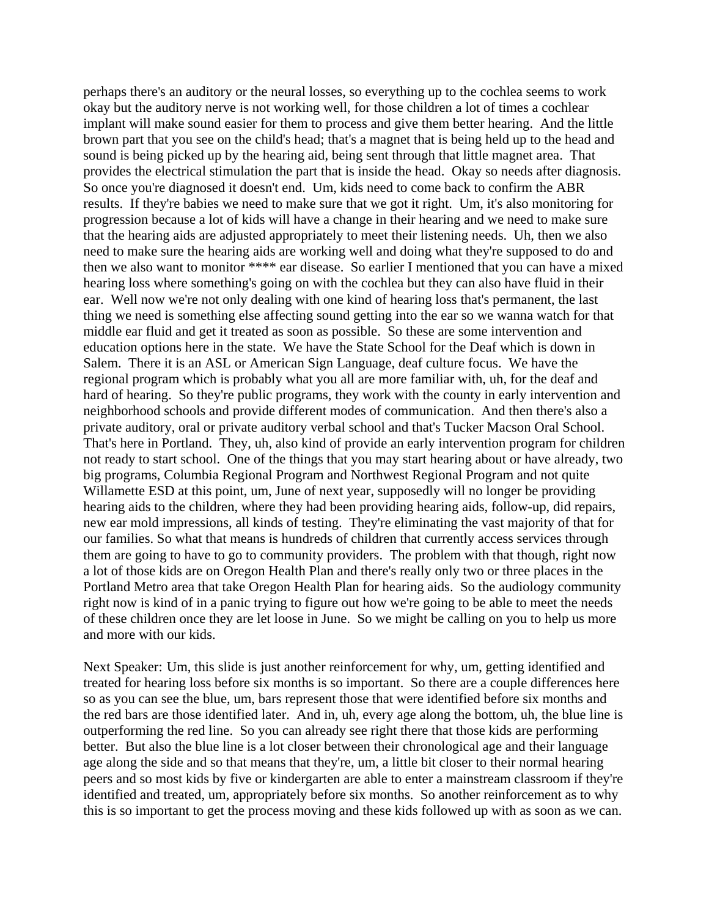perhaps there's an auditory or the neural losses, so everything up to the cochlea seems to work okay but the auditory nerve is not working well, for those children a lot of times a cochlear implant will make sound easier for them to process and give them better hearing. And the little brown part that you see on the child's head; that's a magnet that is being held up to the head and sound is being picked up by the hearing aid, being sent through that little magnet area. That provides the electrical stimulation the part that is inside the head. Okay so needs after diagnosis. So once you're diagnosed it doesn't end. Um, kids need to come back to confirm the ABR results. If they're babies we need to make sure that we got it right. Um, it's also monitoring for progression because a lot of kids will have a change in their hearing and we need to make sure that the hearing aids are adjusted appropriately to meet their listening needs. Uh, then we also need to make sure the hearing aids are working well and doing what they're supposed to do and then we also want to monitor \*\*\*\* ear disease. So earlier I mentioned that you can have a mixed hearing loss where something's going on with the cochlea but they can also have fluid in their ear. Well now we're not only dealing with one kind of hearing loss that's permanent, the last thing we need is something else affecting sound getting into the ear so we wanna watch for that middle ear fluid and get it treated as soon as possible. So these are some intervention and education options here in the state. We have the State School for the Deaf which is down in Salem. There it is an ASL or American Sign Language, deaf culture focus. We have the regional program which is probably what you all are more familiar with, uh, for the deaf and hard of hearing. So they're public programs, they work with the county in early intervention and neighborhood schools and provide different modes of communication. And then there's also a private auditory, oral or private auditory verbal school and that's Tucker Macson Oral School. That's here in Portland. They, uh, also kind of provide an early intervention program for children not ready to start school. One of the things that you may start hearing about or have already, two big programs, Columbia Regional Program and Northwest Regional Program and not quite Willamette ESD at this point, um, June of next year, supposedly will no longer be providing hearing aids to the children, where they had been providing hearing aids, follow-up, did repairs, new ear mold impressions, all kinds of testing. They're eliminating the vast majority of that for our families. So what that means is hundreds of children that currently access services through them are going to have to go to community providers. The problem with that though, right now a lot of those kids are on Oregon Health Plan and there's really only two or three places in the Portland Metro area that take Oregon Health Plan for hearing aids. So the audiology community right now is kind of in a panic trying to figure out how we're going to be able to meet the needs of these children once they are let loose in June. So we might be calling on you to help us more and more with our kids.

Next Speaker: Um, this slide is just another reinforcement for why, um, getting identified and treated for hearing loss before six months is so important. So there are a couple differences here so as you can see the blue, um, bars represent those that were identified before six months and the red bars are those identified later. And in, uh, every age along the bottom, uh, the blue line is outperforming the red line. So you can already see right there that those kids are performing better. But also the blue line is a lot closer between their chronological age and their language age along the side and so that means that they're, um, a little bit closer to their normal hearing peers and so most kids by five or kindergarten are able to enter a mainstream classroom if they're identified and treated, um, appropriately before six months. So another reinforcement as to why this is so important to get the process moving and these kids followed up with as soon as we can.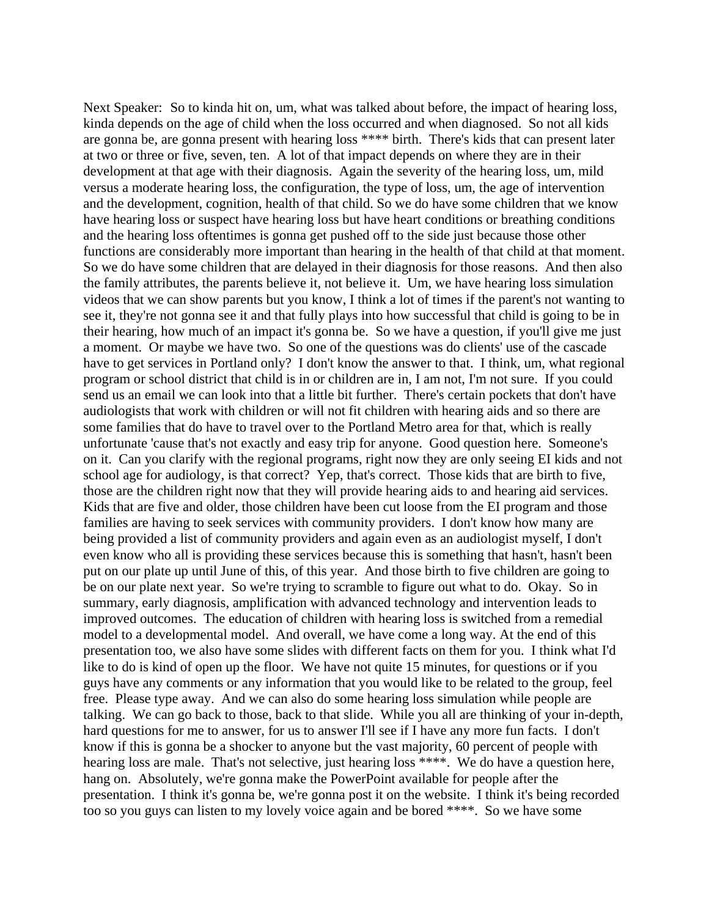Next Speaker: So to kinda hit on, um, what was talked about before, the impact of hearing loss, kinda depends on the age of child when the loss occurred and when diagnosed. So not all kids are gonna be, are gonna present with hearing loss \*\*\*\* birth. There's kids that can present later at two or three or five, seven, ten. A lot of that impact depends on where they are in their development at that age with their diagnosis. Again the severity of the hearing loss, um, mild versus a moderate hearing loss, the configuration, the type of loss, um, the age of intervention and the development, cognition, health of that child. So we do have some children that we know have hearing loss or suspect have hearing loss but have heart conditions or breathing conditions and the hearing loss oftentimes is gonna get pushed off to the side just because those other functions are considerably more important than hearing in the health of that child at that moment. So we do have some children that are delayed in their diagnosis for those reasons. And then also the family attributes, the parents believe it, not believe it. Um, we have hearing loss simulation videos that we can show parents but you know, I think a lot of times if the parent's not wanting to see it, they're not gonna see it and that fully plays into how successful that child is going to be in their hearing, how much of an impact it's gonna be. So we have a question, if you'll give me just a moment. Or maybe we have two. So one of the questions was do clients' use of the cascade have to get services in Portland only? I don't know the answer to that. I think, um, what regional program or school district that child is in or children are in, I am not, I'm not sure. If you could send us an email we can look into that a little bit further. There's certain pockets that don't have audiologists that work with children or will not fit children with hearing aids and so there are some families that do have to travel over to the Portland Metro area for that, which is really unfortunate 'cause that's not exactly and easy trip for anyone. Good question here. Someone's on it. Can you clarify with the regional programs, right now they are only seeing EI kids and not school age for audiology, is that correct? Yep, that's correct. Those kids that are birth to five, those are the children right now that they will provide hearing aids to and hearing aid services. Kids that are five and older, those children have been cut loose from the EI program and those families are having to seek services with community providers. I don't know how many are being provided a list of community providers and again even as an audiologist myself, I don't even know who all is providing these services because this is something that hasn't, hasn't been put on our plate up until June of this, of this year. And those birth to five children are going to be on our plate next year. So we're trying to scramble to figure out what to do. Okay. So in summary, early diagnosis, amplification with advanced technology and intervention leads to improved outcomes. The education of children with hearing loss is switched from a remedial model to a developmental model. And overall, we have come a long way. At the end of this presentation too, we also have some slides with different facts on them for you. I think what I'd like to do is kind of open up the floor. We have not quite 15 minutes, for questions or if you guys have any comments or any information that you would like to be related to the group, feel free. Please type away. And we can also do some hearing loss simulation while people are talking. We can go back to those, back to that slide. While you all are thinking of your in-depth, hard questions for me to answer, for us to answer I'll see if I have any more fun facts. I don't know if this is gonna be a shocker to anyone but the vast majority, 60 percent of people with hearing loss are male. That's not selective, just hearing loss \*\*\*\*. We do have a question here, hang on. Absolutely, we're gonna make the PowerPoint available for people after the presentation. I think it's gonna be, we're gonna post it on the website. I think it's being recorded too so you guys can listen to my lovely voice again and be bored \*\*\*\*. So we have some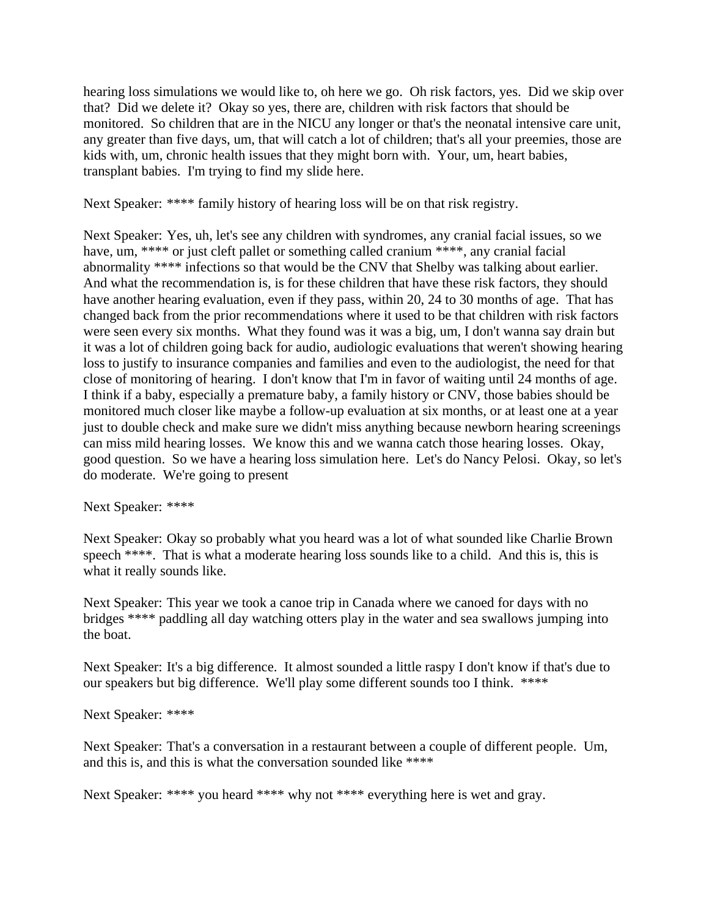hearing loss simulations we would like to, oh here we go. Oh risk factors, yes. Did we skip over that? Did we delete it? Okay so yes, there are, children with risk factors that should be monitored. So children that are in the NICU any longer or that's the neonatal intensive care unit, any greater than five days, um, that will catch a lot of children; that's all your preemies, those are kids with, um, chronic health issues that they might born with. Your, um, heart babies, transplant babies. I'm trying to find my slide here.

Next Speaker: \*\*\*\* family history of hearing loss will be on that risk registry.

Next Speaker: Yes, uh, let's see any children with syndromes, any cranial facial issues, so we have, um, \*\*\*\* or just cleft pallet or something called cranium \*\*\*\*, any cranial facial abnormality \*\*\*\* infections so that would be the CNV that Shelby was talking about earlier. And what the recommendation is, is for these children that have these risk factors, they should have another hearing evaluation, even if they pass, within 20, 24 to 30 months of age. That has changed back from the prior recommendations where it used to be that children with risk factors were seen every six months. What they found was it was a big, um, I don't wanna say drain but it was a lot of children going back for audio, audiologic evaluations that weren't showing hearing loss to justify to insurance companies and families and even to the audiologist, the need for that close of monitoring of hearing. I don't know that I'm in favor of waiting until 24 months of age. I think if a baby, especially a premature baby, a family history or CNV, those babies should be monitored much closer like maybe a follow-up evaluation at six months, or at least one at a year just to double check and make sure we didn't miss anything because newborn hearing screenings can miss mild hearing losses. We know this and we wanna catch those hearing losses. Okay, good question. So we have a hearing loss simulation here. Let's do Nancy Pelosi. Okay, so let's do moderate. We're going to present

Next Speaker: \*\*\*\*

Next Speaker: Okay so probably what you heard was a lot of what sounded like Charlie Brown speech \*\*\*\*. That is what a moderate hearing loss sounds like to a child. And this is, this is what it really sounds like.

Next Speaker: This year we took a canoe trip in Canada where we canoed for days with no bridges \*\*\*\* paddling all day watching otters play in the water and sea swallows jumping into the boat.

Next Speaker: It's a big difference. It almost sounded a little raspy I don't know if that's due to our speakers but big difference. We'll play some different sounds too I think. \*\*\*\*

Next Speaker: \*\*\*\*

Next Speaker: That's a conversation in a restaurant between a couple of different people. Um, and this is, and this is what the conversation sounded like \*\*\*\*

Next Speaker: \*\*\*\* you heard \*\*\*\* why not \*\*\*\* everything here is wet and gray.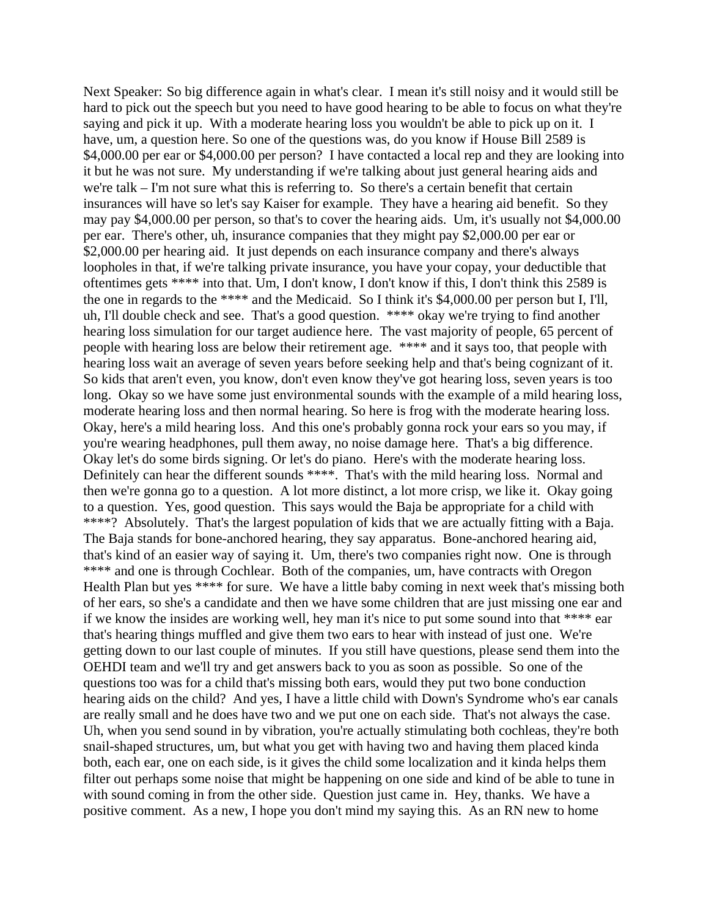Next Speaker: So big difference again in what's clear. I mean it's still noisy and it would still be hard to pick out the speech but you need to have good hearing to be able to focus on what they're saying and pick it up. With a moderate hearing loss you wouldn't be able to pick up on it. I have, um, a question here. So one of the questions was, do you know if House Bill 2589 is \$4,000.00 per ear or \$4,000.00 per person? I have contacted a local rep and they are looking into it but he was not sure. My understanding if we're talking about just general hearing aids and we're talk – I'm not sure what this is referring to. So there's a certain benefit that certain insurances will have so let's say Kaiser for example. They have a hearing aid benefit. So they may pay \$4,000.00 per person, so that's to cover the hearing aids. Um, it's usually not \$4,000.00 per ear. There's other, uh, insurance companies that they might pay \$2,000.00 per ear or \$2,000.00 per hearing aid. It just depends on each insurance company and there's always loopholes in that, if we're talking private insurance, you have your copay, your deductible that oftentimes gets \*\*\*\* into that. Um, I don't know, I don't know if this, I don't think this 2589 is the one in regards to the \*\*\*\* and the Medicaid. So I think it's \$4,000.00 per person but I, I'll, uh, I'll double check and see. That's a good question. \*\*\*\* okay we're trying to find another hearing loss simulation for our target audience here. The vast majority of people, 65 percent of people with hearing loss are below their retirement age. \*\*\*\* and it says too, that people with hearing loss wait an average of seven years before seeking help and that's being cognizant of it. So kids that aren't even, you know, don't even know they've got hearing loss, seven years is too long. Okay so we have some just environmental sounds with the example of a mild hearing loss, moderate hearing loss and then normal hearing. So here is frog with the moderate hearing loss. Okay, here's a mild hearing loss. And this one's probably gonna rock your ears so you may, if you're wearing headphones, pull them away, no noise damage here. That's a big difference. Okay let's do some birds signing. Or let's do piano. Here's with the moderate hearing loss. Definitely can hear the different sounds \*\*\*\*. That's with the mild hearing loss. Normal and then we're gonna go to a question. A lot more distinct, a lot more crisp, we like it. Okay going to a question. Yes, good question. This says would the Baja be appropriate for a child with \*\*\*\*? Absolutely. That's the largest population of kids that we are actually fitting with a Baja. The Baja stands for bone-anchored hearing, they say apparatus. Bone-anchored hearing aid, that's kind of an easier way of saying it. Um, there's two companies right now. One is through \*\*\*\* and one is through Cochlear. Both of the companies, um, have contracts with Oregon Health Plan but yes \*\*\*\* for sure. We have a little baby coming in next week that's missing both of her ears, so she's a candidate and then we have some children that are just missing one ear and if we know the insides are working well, hey man it's nice to put some sound into that \*\*\*\* ear that's hearing things muffled and give them two ears to hear with instead of just one. We're getting down to our last couple of minutes. If you still have questions, please send them into the OEHDI team and we'll try and get answers back to you as soon as possible. So one of the questions too was for a child that's missing both ears, would they put two bone conduction hearing aids on the child? And yes, I have a little child with Down's Syndrome who's ear canals are really small and he does have two and we put one on each side. That's not always the case. Uh, when you send sound in by vibration, you're actually stimulating both cochleas, they're both snail-shaped structures, um, but what you get with having two and having them placed kinda both, each ear, one on each side, is it gives the child some localization and it kinda helps them filter out perhaps some noise that might be happening on one side and kind of be able to tune in with sound coming in from the other side. Question just came in. Hey, thanks. We have a positive comment. As a new, I hope you don't mind my saying this. As an RN new to home